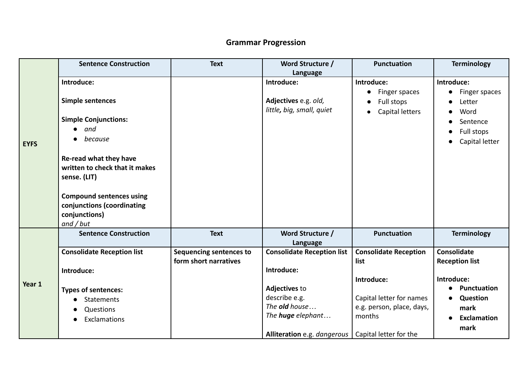## **Grammar Progression**

|             | <b>Sentence Construction</b>                                                                  | <b>Text</b>                                             | Word Structure /<br>Language                         | <b>Punctuation</b>                         | <b>Terminology</b>                          |
|-------------|-----------------------------------------------------------------------------------------------|---------------------------------------------------------|------------------------------------------------------|--------------------------------------------|---------------------------------------------|
|             | Introduce:                                                                                    |                                                         | Introduce:                                           | Introduce:<br>Finger spaces                | Introduce:<br>Finger spaces                 |
|             | <b>Simple sentences</b>                                                                       |                                                         | Adjectives e.g. old,<br>little, big, small, quiet    | Full stops<br>Capital letters<br>$\bullet$ | Letter<br>Word                              |
|             | <b>Simple Conjunctions:</b>                                                                   |                                                         |                                                      |                                            | Sentence                                    |
| <b>EYFS</b> | and<br>because                                                                                |                                                         |                                                      |                                            | Full stops<br>Capital letter                |
|             | Re-read what they have<br>written to check that it makes<br>sense. (LIT)                      |                                                         |                                                      |                                            |                                             |
|             | <b>Compound sentences using</b><br>conjunctions (coordinating<br>conjunctions)<br>$and$ / but |                                                         |                                                      |                                            |                                             |
|             | <b>Sentence Construction</b>                                                                  | <b>Text</b>                                             | Word Structure /<br>Language                         | <b>Punctuation</b>                         | <b>Terminology</b>                          |
| Year 1      | <b>Consolidate Reception list</b><br>Introduce:                                               | <b>Sequencing sentences to</b><br>form short narratives | <b>Consolidate Reception list</b><br>Introduce:      | <b>Consolidate Reception</b><br>list       | <b>Consolidate</b><br><b>Reception list</b> |
|             |                                                                                               |                                                         |                                                      | Introduce:                                 | Introduce:                                  |
|             | <b>Types of sentences:</b>                                                                    |                                                         | <b>Adjectives to</b>                                 |                                            | <b>Punctuation</b>                          |
|             | Statements                                                                                    |                                                         | describe e.g.                                        | Capital letter for names                   | <b>Question</b>                             |
|             | Questions                                                                                     |                                                         | The old house                                        | e.g. person, place, days,                  | mark                                        |
|             | Exclamations                                                                                  |                                                         | The <b>huge</b> elephant                             | months                                     | <b>Exclamation</b>                          |
|             |                                                                                               |                                                         | Alliteration e.g. dangerous   Capital letter for the |                                            | mark                                        |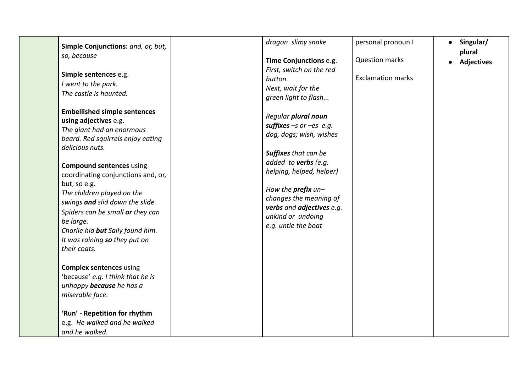| Simple Conjunctions: and, or, but,<br>so, because<br>Simple sentences e.g.<br>I went to the park.                                                                                                                                                                                            | dragon slimy snake<br>Time Conjunctions e.g.<br>First, switch on the red<br>button.                                                                                       | personal pronoun I<br><b>Question marks</b><br><b>Exclamation marks</b> | • Singular/<br>plural<br>• Adjectives |
|----------------------------------------------------------------------------------------------------------------------------------------------------------------------------------------------------------------------------------------------------------------------------------------------|---------------------------------------------------------------------------------------------------------------------------------------------------------------------------|-------------------------------------------------------------------------|---------------------------------------|
| The castle is haunted.                                                                                                                                                                                                                                                                       | Next, wait for the<br>green light to flash                                                                                                                                |                                                                         |                                       |
| <b>Embellished simple sentences</b><br>using adjectives e.g.<br>The giant had an enormous<br>beard. Red squirrels enjoy eating<br>delicious nuts.                                                                                                                                            | Regular plural noun<br>suffixes $-s$ or $-es$ e.g.<br>dog, dogs; wish, wishes<br><b>Suffixes</b> that can be                                                              |                                                                         |                                       |
| <b>Compound sentences using</b><br>coordinating conjunctions and, or,<br>but, so e.g.<br>The children played on the<br>swings and slid down the slide.<br>Spiders can be small or they can<br>be large.<br>Charlie hid but Sally found him.<br>It was raining so they put on<br>their coats. | added to verbs (e.g.<br>helping, helped, helper)<br>How the prefix un-<br>changes the meaning of<br>verbs and adjectives e.g.<br>unkind or undoing<br>e.g. untie the boat |                                                                         |                                       |
| <b>Complex sentences using</b><br>'because' e.g. I think that he is<br>unhappy <b>because</b> he has a<br>miserable face.                                                                                                                                                                    |                                                                                                                                                                           |                                                                         |                                       |
| 'Run' - Repetition for rhythm<br>e.g. He walked and he walked<br>and he walked.                                                                                                                                                                                                              |                                                                                                                                                                           |                                                                         |                                       |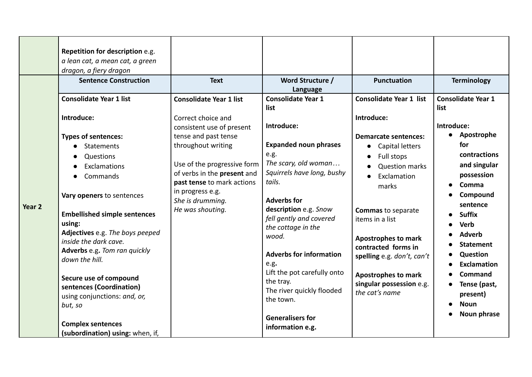|                   | Repetition for description e.g.<br>a lean cat, a mean cat, a green<br>dragon, a fiery dragon<br><b>Sentence Construction</b>                                                                                                                                                                                                                                                                                                                                                                   | <b>Text</b>                                                                                                                                                                                                                                                                             | Word Structure /<br>Language                                                                                                                                                                                                                                                                                                                                                                                                                    | <b>Punctuation</b>                                                                                                                                                                                                                                                                                                                                                                        | <b>Terminology</b>                                                                                                                                                                                                                                                                                                                |
|-------------------|------------------------------------------------------------------------------------------------------------------------------------------------------------------------------------------------------------------------------------------------------------------------------------------------------------------------------------------------------------------------------------------------------------------------------------------------------------------------------------------------|-----------------------------------------------------------------------------------------------------------------------------------------------------------------------------------------------------------------------------------------------------------------------------------------|-------------------------------------------------------------------------------------------------------------------------------------------------------------------------------------------------------------------------------------------------------------------------------------------------------------------------------------------------------------------------------------------------------------------------------------------------|-------------------------------------------------------------------------------------------------------------------------------------------------------------------------------------------------------------------------------------------------------------------------------------------------------------------------------------------------------------------------------------------|-----------------------------------------------------------------------------------------------------------------------------------------------------------------------------------------------------------------------------------------------------------------------------------------------------------------------------------|
| Year <sub>2</sub> | <b>Consolidate Year 1 list</b><br>Introduce:<br><b>Types of sentences:</b><br>Statements<br>Questions<br>Exclamations<br>Commands<br>Vary openers to sentences<br><b>Embellished simple sentences</b><br>using:<br>Adjectives e.g. The boys peeped<br>inside the dark cave.<br>Adverbs e.g. Tom ran quickly<br>down the hill.<br>Secure use of compound<br>sentences (Coordination)<br>using conjunctions: and, or,<br>but, so<br><b>Complex sentences</b><br>(subordination) using: when, if, | <b>Consolidate Year 1 list</b><br>Correct choice and<br>consistent use of present<br>tense and past tense<br>throughout writing<br>Use of the progressive form<br>of verbs in the present and<br>past tense to mark actions<br>in progress e.g.<br>She is drumming.<br>He was shouting. | <b>Consolidate Year 1</b><br>list<br>Introduce:<br><b>Expanded noun phrases</b><br>e.g.<br>The scary, old woman<br>Squirrels have long, bushy<br>tails.<br><b>Adverbs for</b><br>description e.g. Snow<br>fell gently and covered<br>the cottage in the<br>wood.<br><b>Adverbs for information</b><br>e.g.<br>Lift the pot carefully onto<br>the tray.<br>The river quickly flooded<br>the town.<br><b>Generalisers for</b><br>information e.g. | <b>Consolidate Year 1 list</b><br>Introduce:<br><b>Demarcate sentences:</b><br>Capital letters<br>$\bullet$<br>Full stops<br><b>Question marks</b><br>Exclamation<br>marks<br><b>Commas to separate</b><br>items in a list<br><b>Apostrophes to mark</b><br>contracted forms in<br>spelling e.g. don't, can't<br><b>Apostrophes to mark</b><br>singular possession e.g.<br>the cat's name | <b>Consolidate Year 1</b><br>list<br>Introduce:<br>• Apostrophe<br>for<br>contractions<br>and singular<br>possession<br>Comma<br>Compound<br>sentence<br><b>Suffix</b><br><b>Verb</b><br><b>Adverb</b><br><b>Statement</b><br>Question<br><b>Exclamation</b><br>Command<br>Tense (past,<br>present)<br><b>Noun</b><br>Noun phrase |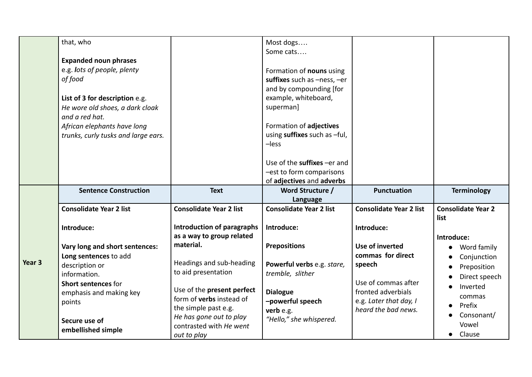|                   | that, who                                                                                                                                                                                                                           |                                                                                | Most dogs<br>Some cats                                                                                                                                                                                                                                    |                                                                                            |                                          |
|-------------------|-------------------------------------------------------------------------------------------------------------------------------------------------------------------------------------------------------------------------------------|--------------------------------------------------------------------------------|-----------------------------------------------------------------------------------------------------------------------------------------------------------------------------------------------------------------------------------------------------------|--------------------------------------------------------------------------------------------|------------------------------------------|
|                   | <b>Expanded noun phrases</b><br>e.g. lots of people, plenty<br>of food<br>List of 3 for description e.g.<br>He wore old shoes, a dark cloak<br>and a red hat.<br>African elephants have long<br>trunks, curly tusks and large ears. |                                                                                | Formation of nouns using<br>suffixes such as -ness, -er<br>and by compounding [for<br>example, whiteboard,<br>superman]<br>Formation of adjectives<br>using suffixes such as -ful,<br>$-$ less<br>Use of the suffixes -er and<br>-est to form comparisons |                                                                                            |                                          |
|                   | <b>Sentence Construction</b>                                                                                                                                                                                                        | <b>Text</b>                                                                    | of adjectives and adverbs<br>Word Structure /                                                                                                                                                                                                             | <b>Punctuation</b>                                                                         | <b>Terminology</b>                       |
|                   |                                                                                                                                                                                                                                     |                                                                                | Language                                                                                                                                                                                                                                                  |                                                                                            |                                          |
|                   | <b>Consolidate Year 2 list</b>                                                                                                                                                                                                      | <b>Consolidate Year 2 list</b>                                                 | <b>Consolidate Year 2 list</b>                                                                                                                                                                                                                            | <b>Consolidate Year 2 list</b>                                                             | <b>Consolidate Year 2</b>                |
|                   | Introduce:                                                                                                                                                                                                                          | <b>Introduction of paragraphs</b>                                              | Introduce:                                                                                                                                                                                                                                                | Introduce:                                                                                 | list                                     |
|                   | Vary long and short sentences:<br>Long sentences to add                                                                                                                                                                             | as a way to group related<br>material.                                         | <b>Prepositions</b>                                                                                                                                                                                                                                       | Use of inverted<br>commas for direct                                                       | Introduce:<br>Word family<br>Conjunction |
| Year <sub>3</sub> | description or<br>information.                                                                                                                                                                                                      | Headings and sub-heading<br>to aid presentation                                | Powerful verbs e.g. stare,<br>tremble, slither                                                                                                                                                                                                            | speech                                                                                     | Preposition<br>Direct speech             |
|                   | Short sentences for<br>emphasis and making key<br>points                                                                                                                                                                            | Use of the present perfect<br>form of verbs instead of<br>the simple past e.g. | <b>Dialogue</b><br>-powerful speech<br>verb e.g.                                                                                                                                                                                                          | Use of commas after<br>fronted adverbials<br>e.g. Later that day, I<br>heard the bad news. | Inverted<br>commas<br>Prefix             |
|                   | Secure use of                                                                                                                                                                                                                       | He has gone out to play<br>contrasted with He went                             | "Hello," she whispered.                                                                                                                                                                                                                                   |                                                                                            | Consonant/<br>Vowel                      |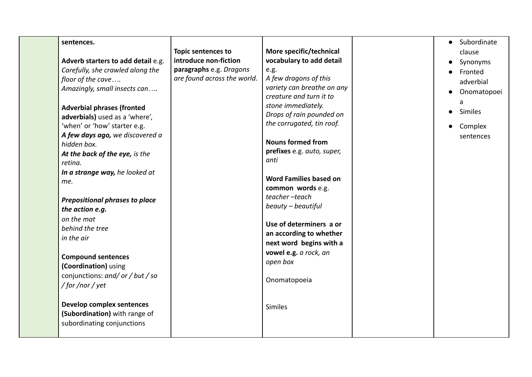| sentences.<br>Adverb starters to add detail e.g.<br>Carefully, she crawled along the<br>floor of the cave<br>Amazingly, small insects can<br><b>Adverbial phrases (fronted</b><br>adverbials) used as a 'where',<br>'when' or 'how' starter e.g.<br>A few days ago, we discovered a<br>hidden box.<br>At the back of the eye, is the<br>retina.<br>In a strange way, he looked at<br>me.<br><b>Prepositional phrases to place</b><br>the action e.g.<br>on the mat<br>behind the tree<br>in the air<br><b>Compound sentences</b><br>(Coordination) using<br>conjunctions: and/ or / but / so<br>/for/nor/yet<br><b>Develop complex sentences</b><br>(Subordination) with range of<br>subordinating conjunctions | <b>Topic sentences to</b><br>introduce non-fiction<br>paragraphs e.g. Dragons<br>are found across the world. | More specific/technical<br>vocabulary to add detail<br>e.g.<br>A few dragons of this<br>variety can breathe on any<br>creature and turn it to<br>stone immediately.<br>Drops of rain pounded on<br>the corrugated, tin roof.<br><b>Nouns formed from</b><br>prefixes e.g. auto, super,<br>anti<br><b>Word Families based on</b><br>common words e.g.<br>teacher-teach<br>beauty - beautiful<br>Use of determiners a or<br>an according to whether<br>next word begins with a<br>vowel e.g. a rock, an<br>open box<br>Onomatopoeia<br><b>Similes</b> | Subordinate<br>$\bullet$<br>clause<br>Synonyms<br>Fronted<br>adverbial<br>Onomatopoei<br>a<br>Similes<br>Complex<br>sentences |
|-----------------------------------------------------------------------------------------------------------------------------------------------------------------------------------------------------------------------------------------------------------------------------------------------------------------------------------------------------------------------------------------------------------------------------------------------------------------------------------------------------------------------------------------------------------------------------------------------------------------------------------------------------------------------------------------------------------------|--------------------------------------------------------------------------------------------------------------|-----------------------------------------------------------------------------------------------------------------------------------------------------------------------------------------------------------------------------------------------------------------------------------------------------------------------------------------------------------------------------------------------------------------------------------------------------------------------------------------------------------------------------------------------------|-------------------------------------------------------------------------------------------------------------------------------|
|                                                                                                                                                                                                                                                                                                                                                                                                                                                                                                                                                                                                                                                                                                                 |                                                                                                              |                                                                                                                                                                                                                                                                                                                                                                                                                                                                                                                                                     |                                                                                                                               |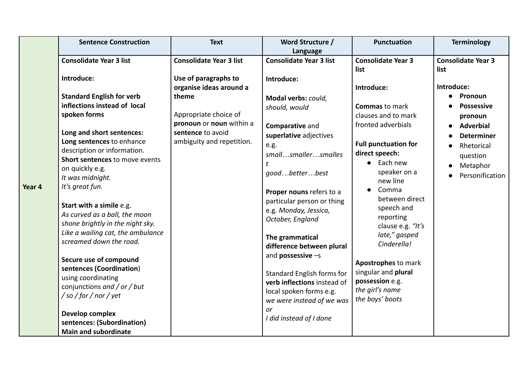|        | <b>Sentence Construction</b>                                                                                                                                                                                                                                                                                                                                                                                                                                                                                                                                                                                                                                                                         | <b>Text</b>                                                                                                                                                                                       | Word Structure /                                                                                                                                                                                                                                                                                                                                                                                                                                                                                                                               | <b>Punctuation</b>                                                                                                                                                                                                                                                                                                                                                                                                                                      | <b>Terminology</b>                                                                                                                                                                           |
|--------|------------------------------------------------------------------------------------------------------------------------------------------------------------------------------------------------------------------------------------------------------------------------------------------------------------------------------------------------------------------------------------------------------------------------------------------------------------------------------------------------------------------------------------------------------------------------------------------------------------------------------------------------------------------------------------------------------|---------------------------------------------------------------------------------------------------------------------------------------------------------------------------------------------------|------------------------------------------------------------------------------------------------------------------------------------------------------------------------------------------------------------------------------------------------------------------------------------------------------------------------------------------------------------------------------------------------------------------------------------------------------------------------------------------------------------------------------------------------|---------------------------------------------------------------------------------------------------------------------------------------------------------------------------------------------------------------------------------------------------------------------------------------------------------------------------------------------------------------------------------------------------------------------------------------------------------|----------------------------------------------------------------------------------------------------------------------------------------------------------------------------------------------|
| Year 4 | <b>Consolidate Year 3 list</b><br>Introduce:<br><b>Standard English for verb</b><br>inflections instead of local<br>spoken forms<br>Long and short sentences:<br>Long sentences to enhance<br>description or information.<br>Short sentences to move events<br>on quickly e.g.<br>It was midnight.<br>It's great fun.<br>Start with a simile e.g.<br>As curved as a ball, the moon<br>shone brightly in the night sky.<br>Like a wailing cat, the ambulance<br>screamed down the road.<br>Secure use of compound<br>sentences (Coordination)<br>using coordinating<br>conjunctions and / or / but<br>/so/for/nor/yet<br>Develop complex<br>sentences: (Subordination)<br><b>Main and subordinate</b> | <b>Consolidate Year 3 list</b><br>Use of paragraphs to<br>organise ideas around a<br>theme<br>Appropriate choice of<br>pronoun or noun within a<br>sentence to avoid<br>ambiguity and repetition. | Language<br><b>Consolidate Year 3 list</b><br>Introduce:<br>Modal verbs: could,<br>should, would<br>Comparative and<br>superlative adjectives<br>e.g.<br>smallsmallersmalles<br>t<br>goodbetterbest<br>Proper nouns refers to a<br>particular person or thing<br>e.g. Monday, Jessica,<br>October, England<br>The grammatical<br>difference between plural<br>and <b>possessive</b> $-s$<br>Standard English forms for<br>verb inflections instead of<br>local spoken forms e.g.<br>we were instead of we was<br>or<br>I did instead of I done | <b>Consolidate Year 3</b><br>list<br>Introduce:<br><b>Commas</b> to mark<br>clauses and to mark<br>fronted adverbials<br><b>Full punctuation for</b><br>direct speech:<br>$\bullet$ Each new<br>speaker on a<br>new line<br>Comma<br>$\bullet$<br>between direct<br>speech and<br>reporting<br>clause e.g. "It's<br>late," gasped<br>Cinderella!<br>Apostrophes to mark<br>singular and plural<br>possession e.g.<br>the girl's name<br>the boys' boots | <b>Consolidate Year 3</b><br>list<br>Introduce:<br>Pronoun<br><b>Possessive</b><br>pronoun<br><b>Adverbial</b><br><b>Determiner</b><br>Rhetorical<br>question<br>Metaphor<br>Personification |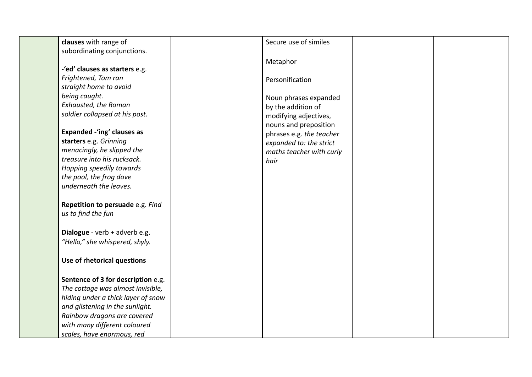| clauses with range of              | Secure use of similes    |  |
|------------------------------------|--------------------------|--|
| subordinating conjunctions.        |                          |  |
|                                    |                          |  |
| -'ed' clauses as starters e.g.     | Metaphor                 |  |
| Frightened, Tom ran                |                          |  |
| straight home to avoid             | Personification          |  |
| being caught.                      |                          |  |
|                                    | Noun phrases expanded    |  |
| Exhausted, the Roman               | by the addition of       |  |
| soldier collapsed at his post.     | modifying adjectives,    |  |
|                                    | nouns and preposition    |  |
| <b>Expanded -'ing' clauses as</b>  | phrases e.g. the teacher |  |
| starters e.g. Grinning             | expanded to: the strict  |  |
| menacingly, he slipped the         | maths teacher with curly |  |
| treasure into his rucksack.        | hair                     |  |
| Hopping speedily towards           |                          |  |
| the pool, the frog dove            |                          |  |
| underneath the leaves.             |                          |  |
| Repetition to persuade e.g. Find   |                          |  |
| us to find the fun                 |                          |  |
|                                    |                          |  |
| Dialogue - verb + adverb e.g.      |                          |  |
| "Hello," she whispered, shyly.     |                          |  |
|                                    |                          |  |
| Use of rhetorical questions        |                          |  |
|                                    |                          |  |
| Sentence of 3 for description e.g. |                          |  |
| The cottage was almost invisible,  |                          |  |
| hiding under a thick layer of snow |                          |  |
| and glistening in the sunlight.    |                          |  |
| Rainbow dragons are covered        |                          |  |
| with many different coloured       |                          |  |
| scales, have enormous, red         |                          |  |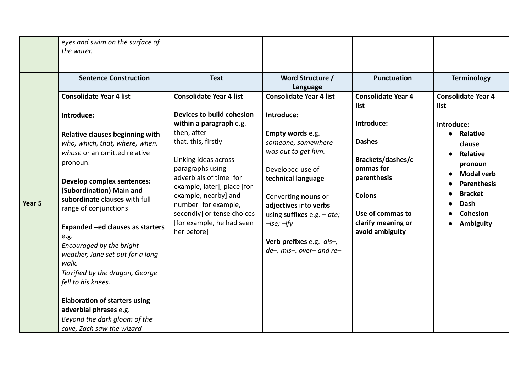|        | eyes and swim on the surface of<br>the water.                                                                                                                                                                                                                                                                                                                                                                                        |                                                                                                                                                                                                                                                                                                                            |                                                                                                                                                                                                                                                                               |                                                                                                                                                            |                                                                                                                                                                |
|--------|--------------------------------------------------------------------------------------------------------------------------------------------------------------------------------------------------------------------------------------------------------------------------------------------------------------------------------------------------------------------------------------------------------------------------------------|----------------------------------------------------------------------------------------------------------------------------------------------------------------------------------------------------------------------------------------------------------------------------------------------------------------------------|-------------------------------------------------------------------------------------------------------------------------------------------------------------------------------------------------------------------------------------------------------------------------------|------------------------------------------------------------------------------------------------------------------------------------------------------------|----------------------------------------------------------------------------------------------------------------------------------------------------------------|
|        | <b>Sentence Construction</b>                                                                                                                                                                                                                                                                                                                                                                                                         | <b>Text</b>                                                                                                                                                                                                                                                                                                                | Word Structure /<br>Language                                                                                                                                                                                                                                                  | <b>Punctuation</b>                                                                                                                                         | <b>Terminology</b>                                                                                                                                             |
|        | <b>Consolidate Year 4 list</b>                                                                                                                                                                                                                                                                                                                                                                                                       | <b>Consolidate Year 4 list</b>                                                                                                                                                                                                                                                                                             | <b>Consolidate Year 4 list</b>                                                                                                                                                                                                                                                | <b>Consolidate Year 4</b><br>list                                                                                                                          | <b>Consolidate Year 4</b><br>list                                                                                                                              |
| Year 5 | Introduce:<br>Relative clauses beginning with<br>who, which, that, where, when,<br>whose or an omitted relative<br>pronoun.<br><b>Develop complex sentences:</b><br>(Subordination) Main and<br>subordinate clauses with full<br>range of conjunctions<br>Expanded -ed clauses as starters<br>e.g.<br>Encouraged by the bright<br>weather, Jane set out for a long<br>walk.<br>Terrified by the dragon, George<br>fell to his knees. | Devices to build cohesion<br>within a paragraph e.g.<br>then, after<br>that, this, firstly<br>Linking ideas across<br>paragraphs using<br>adverbials of time [for<br>example, later], place [for<br>example, nearby] and<br>number [for example,<br>secondly] or tense choices<br>[for example, he had seen<br>her before] | Introduce:<br>Empty words e.g.<br>someone, somewhere<br>was out to get him.<br>Developed use of<br>technical language<br>Converting nouns or<br>adjectives into verbs<br>using suffixes $e.g. - ate;$<br>$-ise; -ify$<br>Verb prefixes e.g. dis-,<br>de-, mis-, over- and re- | Introduce:<br><b>Dashes</b><br>Brackets/dashes/c<br>ommas for<br>parenthesis<br><b>Colons</b><br>Use of commas to<br>clarify meaning or<br>avoid ambiguity | Introduce:<br>• Relative<br>clause<br><b>Relative</b><br>pronoun<br><b>Modal verb</b><br><b>Parenthesis</b><br><b>Bracket</b><br>Dash<br>Cohesion<br>Ambiguity |
|        | <b>Elaboration of starters using</b><br>adverbial phrases e.g.<br>Beyond the dark gloom of the<br>cave, Zach saw the wizard                                                                                                                                                                                                                                                                                                          |                                                                                                                                                                                                                                                                                                                            |                                                                                                                                                                                                                                                                               |                                                                                                                                                            |                                                                                                                                                                |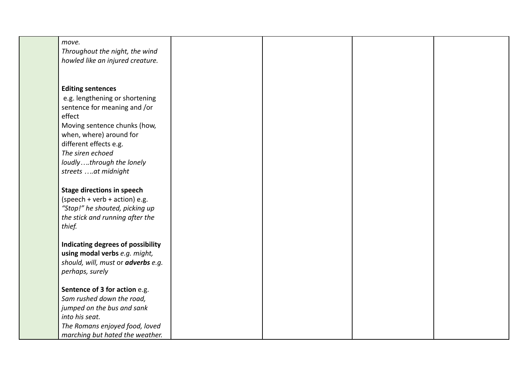| move.                              |  |  |
|------------------------------------|--|--|
| Throughout the night, the wind     |  |  |
| howled like an injured creature.   |  |  |
|                                    |  |  |
|                                    |  |  |
|                                    |  |  |
| <b>Editing sentences</b>           |  |  |
| e.g. lengthening or shortening     |  |  |
| sentence for meaning and /or       |  |  |
| effect                             |  |  |
| Moving sentence chunks (how,       |  |  |
| when, where) around for            |  |  |
| different effects e.g.             |  |  |
| The siren echoed                   |  |  |
| loudlythrough the lonely           |  |  |
|                                    |  |  |
| streets at midnight                |  |  |
|                                    |  |  |
| <b>Stage directions in speech</b>  |  |  |
| (speech + verb + action) e.g.      |  |  |
| "Stop!" he shouted, picking up     |  |  |
| the stick and running after the    |  |  |
| thief.                             |  |  |
|                                    |  |  |
| Indicating degrees of possibility  |  |  |
| using modal verbs e.g. might,      |  |  |
| should, will, must or adverbs e.g. |  |  |
| perhaps, surely                    |  |  |
|                                    |  |  |
| Sentence of 3 for action e.g.      |  |  |
| Sam rushed down the road,          |  |  |
| jumped on the bus and sank         |  |  |
| into his seat.                     |  |  |
| The Romans enjoyed food, loved     |  |  |
| marching but hated the weather.    |  |  |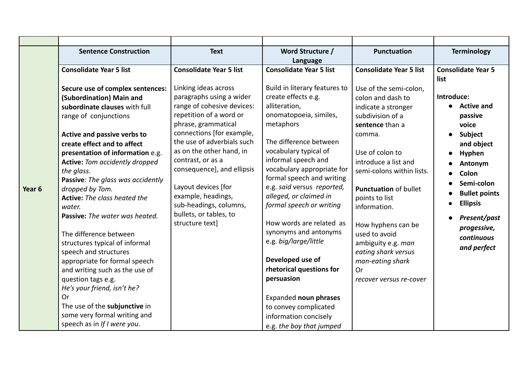| <b>Sentence Construction</b>                                                                                                                                                                                                                                                                                                                                                                                                                                                                                                                                                                                                                                                                                             | <b>Text</b>                                                                                                                                                                                                                                                                                                                                                                                    | Word Structure /                                                                                                                                                                                                                                                                                                                                                                                                                                                                                                                                             | <b>Punctuation</b>                                                                                                                                                                                                                                                                                                                                                                                     | <b>Terminology</b>                                                                                                                                                                                                              |
|--------------------------------------------------------------------------------------------------------------------------------------------------------------------------------------------------------------------------------------------------------------------------------------------------------------------------------------------------------------------------------------------------------------------------------------------------------------------------------------------------------------------------------------------------------------------------------------------------------------------------------------------------------------------------------------------------------------------------|------------------------------------------------------------------------------------------------------------------------------------------------------------------------------------------------------------------------------------------------------------------------------------------------------------------------------------------------------------------------------------------------|--------------------------------------------------------------------------------------------------------------------------------------------------------------------------------------------------------------------------------------------------------------------------------------------------------------------------------------------------------------------------------------------------------------------------------------------------------------------------------------------------------------------------------------------------------------|--------------------------------------------------------------------------------------------------------------------------------------------------------------------------------------------------------------------------------------------------------------------------------------------------------------------------------------------------------------------------------------------------------|---------------------------------------------------------------------------------------------------------------------------------------------------------------------------------------------------------------------------------|
|                                                                                                                                                                                                                                                                                                                                                                                                                                                                                                                                                                                                                                                                                                                          |                                                                                                                                                                                                                                                                                                                                                                                                | Language                                                                                                                                                                                                                                                                                                                                                                                                                                                                                                                                                     |                                                                                                                                                                                                                                                                                                                                                                                                        |                                                                                                                                                                                                                                 |
| <b>Consolidate Year 5 list</b>                                                                                                                                                                                                                                                                                                                                                                                                                                                                                                                                                                                                                                                                                           | <b>Consolidate Year 5 list</b>                                                                                                                                                                                                                                                                                                                                                                 | <b>Consolidate Year 5 list</b>                                                                                                                                                                                                                                                                                                                                                                                                                                                                                                                               | <b>Consolidate Year 5 list</b>                                                                                                                                                                                                                                                                                                                                                                         | <b>Consolidate Year 5</b><br>list                                                                                                                                                                                               |
| Secure use of complex sentences:<br>(Subordination) Main and<br>subordinate clauses with full<br>range of conjunctions<br>Active and passive verbs to<br>create effect and to affect<br>presentation of information e.g.<br><b>Active:</b> Tom accidently dropped<br>the glass.<br>Passive: The glass was accidently<br>dropped by Tom.<br>Year 6<br><b>Active:</b> The class heated the<br>water.<br>Passive: The water was heated.<br>The difference between<br>structures typical of informal<br>speech and structures<br>appropriate for formal speech<br>and writing such as the use of<br>question tags e.g.<br>He's your friend, isn't he?<br>Or<br>The use of the subjunctive in<br>some very formal writing and | Linking ideas across<br>paragraphs using a wider<br>range of cohesive devices:<br>repetition of a word or<br>phrase, grammatical<br>connections [for example,<br>the use of adverbials such<br>as on the other hand, in<br>contrast, or as a<br>consequence], and ellipsis<br>Layout devices [for<br>example, headings,<br>sub-headings, columns,<br>bullets, or tables, to<br>structure text] | Build in literary features to<br>create effects e.g.<br>alliteration,<br>onomatopoeia, similes,<br>metaphors<br>The difference between<br>vocabulary typical of<br>informal speech and<br>vocabulary appropriate for<br>formal speech and writing<br>e.g. said versus reported,<br>alleged, or claimed in<br>formal speech or writing<br>How words are related as<br>synonyms and antonyms<br>e.g. big/large/little<br>Developed use of<br>rhetorical questions for<br>persuasion<br>Expanded noun phrases<br>to convey complicated<br>information concisely | Use of the semi-colon,<br>colon and dash to<br>indicate a stronger<br>subdivision of a<br>sentence than a<br>comma.<br>Use of colon to<br>introduce a list and<br>semi-colons within lists.<br><b>Punctuation of bullet</b><br>points to list<br>information.<br>How hyphens can be<br>used to avoid<br>ambiguity e.g. man<br>eating shark versus<br>man-eating shark<br>Or<br>recover versus re-cover | Introduce:<br><b>Active and</b><br>passive<br>voice<br>Subject<br>and object<br>Hyphen<br>Antonym<br>Colon<br>Semi-colon<br><b>Bullet points</b><br><b>Ellipsis</b><br>Present/past<br>progessive,<br>continuous<br>and perfect |